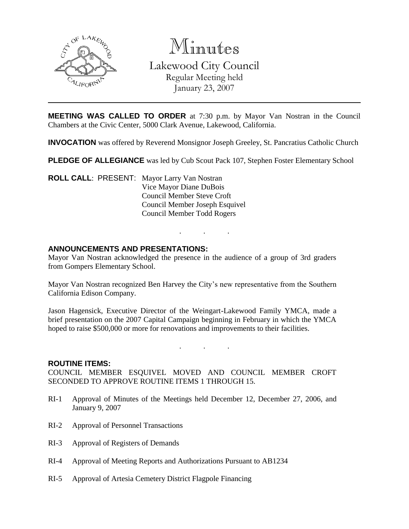

Minutes

Lakewood City Council Regular Meeting held January 23, 2007

**MEETING WAS CALLED TO ORDER** at 7:30 p.m. by Mayor Van Nostran in the Council Chambers at the Civic Center, 5000 Clark Avenue, Lakewood, California.

**INVOCATION** was offered by Reverend Monsignor Joseph Greeley, St. Pancratius Catholic Church

**PLEDGE OF ALLEGIANCE** was led by Cub Scout Pack 107, Stephen Foster Elementary School

. . .

**ROLL CALL**: PRESENT: Mayor Larry Van Nostran Vice Mayor Diane DuBois Council Member Steve Croft Council Member Joseph Esquivel Council Member Todd Rogers

# **ANNOUNCEMENTS AND PRESENTATIONS:**

Mayor Van Nostran acknowledged the presence in the audience of a group of 3rd graders from Gompers Elementary School.

Mayor Van Nostran recognized Ben Harvey the City's new representative from the Southern California Edison Company.

Jason Hagensick, Executive Director of the Weingart-Lakewood Family YMCA, made a brief presentation on the 2007 Capital Campaign beginning in February in which the YMCA hoped to raise \$500,000 or more for renovations and improvements to their facilities.

. . .

#### **ROUTINE ITEMS:**

COUNCIL MEMBER ESQUIVEL MOVED AND COUNCIL MEMBER CROFT SECONDED TO APPROVE ROUTINE ITEMS 1 THROUGH 15.

- RI-1 Approval of Minutes of the Meetings held December 12, December 27, 2006, and January 9, 2007
- RI-2 Approval of Personnel Transactions
- RI-3 Approval of Registers of Demands
- RI-4 Approval of Meeting Reports and Authorizations Pursuant to AB1234
- RI-5 Approval of Artesia Cemetery District Flagpole Financing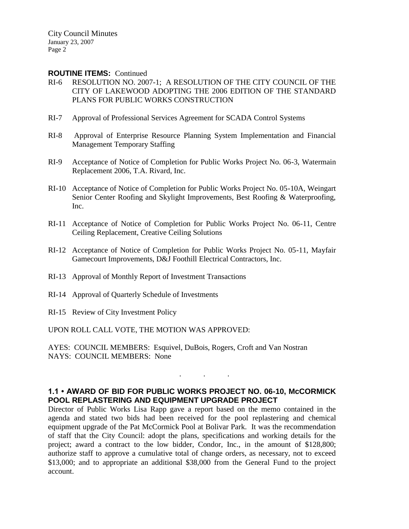City Council Minutes January 23, 2007 Page 2

### **ROUTINE ITEMS:** Continued

- RI-6 RESOLUTION NO. 2007-1; A RESOLUTION OF THE CITY COUNCIL OF THE CITY OF LAKEWOOD ADOPTING THE 2006 EDITION OF THE STANDARD PLANS FOR PUBLIC WORKS CONSTRUCTION
- RI-7 Approval of Professional Services Agreement for SCADA Control Systems
- RI-8 Approval of Enterprise Resource Planning System Implementation and Financial Management Temporary Staffing
- RI-9 Acceptance of Notice of Completion for Public Works Project No. 06-3, Watermain Replacement 2006, T.A. Rivard, Inc.
- RI-10 Acceptance of Notice of Completion for Public Works Project No. 05-10A, Weingart Senior Center Roofing and Skylight Improvements, Best Roofing & Waterproofing, Inc.
- RI-11 Acceptance of Notice of Completion for Public Works Project No. 06-11, Centre Ceiling Replacement, Creative Ceiling Solutions
- RI-12 Acceptance of Notice of Completion for Public Works Project No. 05-11, Mayfair Gamecourt Improvements, D&J Foothill Electrical Contractors, Inc.
- RI-13 Approval of Monthly Report of Investment Transactions
- RI-14 Approval of Quarterly Schedule of Investments
- RI-15 Review of City Investment Policy

UPON ROLL CALL VOTE, THE MOTION WAS APPROVED:

AYES: COUNCIL MEMBERS: Esquivel, DuBois, Rogers, Croft and Van Nostran NAYS: COUNCIL MEMBERS: None

# **1.1 • AWARD OF BID FOR PUBLIC WORKS PROJECT NO. 06-10, McCORMICK POOL REPLASTERING AND EQUIPMENT UPGRADE PROJECT**

. . .

Director of Public Works Lisa Rapp gave a report based on the memo contained in the agenda and stated two bids had been received for the pool replastering and chemical equipment upgrade of the Pat McCormick Pool at Bolivar Park. It was the recommendation of staff that the City Council: adopt the plans, specifications and working details for the project; award a contract to the low bidder, Condor, Inc., in the amount of \$128,800; authorize staff to approve a cumulative total of change orders, as necessary, not to exceed \$13,000; and to appropriate an additional \$38,000 from the General Fund to the project account.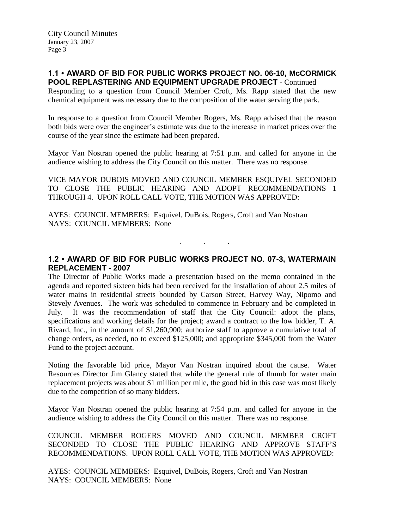### **1.1 • AWARD OF BID FOR PUBLIC WORKS PROJECT NO. 06-10, McCORMICK POOL REPLASTERING AND EQUIPMENT UPGRADE PROJECT** - Continued

Responding to a question from Council Member Croft, Ms. Rapp stated that the new chemical equipment was necessary due to the composition of the water serving the park.

In response to a question from Council Member Rogers, Ms. Rapp advised that the reason both bids were over the engineer's estimate was due to the increase in market prices over the course of the year since the estimate had been prepared.

Mayor Van Nostran opened the public hearing at 7:51 p.m. and called for anyone in the audience wishing to address the City Council on this matter. There was no response.

VICE MAYOR DUBOIS MOVED AND COUNCIL MEMBER ESQUIVEL SECONDED TO CLOSE THE PUBLIC HEARING AND ADOPT RECOMMENDATIONS 1 THROUGH 4. UPON ROLL CALL VOTE, THE MOTION WAS APPROVED:

AYES: COUNCIL MEMBERS: Esquivel, DuBois, Rogers, Croft and Van Nostran NAYS: COUNCIL MEMBERS: None

# **1.2 • AWARD OF BID FOR PUBLIC WORKS PROJECT NO. 07-3, WATERMAIN REPLACEMENT - 2007**

. . .

The Director of Public Works made a presentation based on the memo contained in the agenda and reported sixteen bids had been received for the installation of about 2.5 miles of water mains in residential streets bounded by Carson Street, Harvey Way, Nipomo and Stevely Avenues. The work was scheduled to commence in February and be completed in July. It was the recommendation of staff that the City Council: adopt the plans, specifications and working details for the project; award a contract to the low bidder, T. A. Rivard, Inc., in the amount of \$1,260,900; authorize staff to approve a cumulative total of change orders, as needed, no to exceed \$125,000; and appropriate \$345,000 from the Water Fund to the project account.

Noting the favorable bid price, Mayor Van Nostran inquired about the cause. Water Resources Director Jim Glancy stated that while the general rule of thumb for water main replacement projects was about \$1 million per mile, the good bid in this case was most likely due to the competition of so many bidders.

Mayor Van Nostran opened the public hearing at 7:54 p.m. and called for anyone in the audience wishing to address the City Council on this matter. There was no response.

COUNCIL MEMBER ROGERS MOVED AND COUNCIL MEMBER CROFT SECONDED TO CLOSE THE PUBLIC HEARING AND APPROVE STAFF'S RECOMMENDATIONS. UPON ROLL CALL VOTE, THE MOTION WAS APPROVED:

AYES: COUNCIL MEMBERS: Esquivel, DuBois, Rogers, Croft and Van Nostran NAYS: COUNCIL MEMBERS: None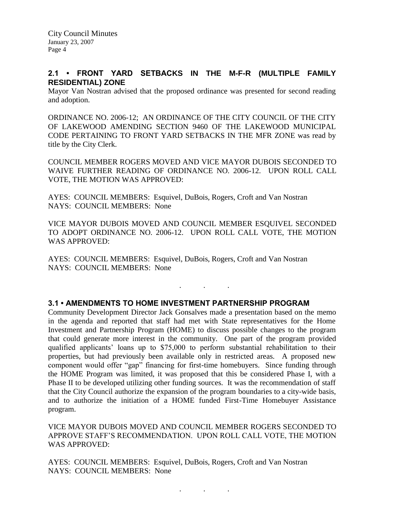City Council Minutes January 23, 2007 Page 4

## **2.1 • FRONT YARD SETBACKS IN THE M-F-R (MULTIPLE FAMILY RESIDENTIAL) ZONE**

Mayor Van Nostran advised that the proposed ordinance was presented for second reading and adoption.

ORDINANCE NO. 2006-12; AN ORDINANCE OF THE CITY COUNCIL OF THE CITY OF LAKEWOOD AMENDING SECTION 9460 OF THE LAKEWOOD MUNICIPAL CODE PERTAINING TO FRONT YARD SETBACKS IN THE MFR ZONE was read by title by the City Clerk.

COUNCIL MEMBER ROGERS MOVED AND VICE MAYOR DUBOIS SECONDED TO WAIVE FURTHER READING OF ORDINANCE NO. 2006-12. UPON ROLL CALL VOTE, THE MOTION WAS APPROVED:

AYES: COUNCIL MEMBERS: Esquivel, DuBois, Rogers, Croft and Van Nostran NAYS: COUNCIL MEMBERS: None

VICE MAYOR DUBOIS MOVED AND COUNCIL MEMBER ESQUIVEL SECONDED TO ADOPT ORDINANCE NO. 2006-12. UPON ROLL CALL VOTE, THE MOTION WAS APPROVED:

. . .

AYES: COUNCIL MEMBERS: Esquivel, DuBois, Rogers, Croft and Van Nostran NAYS: COUNCIL MEMBERS: None

### **3.1 • AMENDMENTS TO HOME INVESTMENT PARTNERSHIP PROGRAM**

Community Development Director Jack Gonsalves made a presentation based on the memo in the agenda and reported that staff had met with State representatives for the Home Investment and Partnership Program (HOME) to discuss possible changes to the program that could generate more interest in the community. One part of the program provided qualified applicants' loans up to \$75,000 to perform substantial rehabilitation to their properties, but had previously been available only in restricted areas. A proposed new component would offer "gap" financing for first-time homebuyers. Since funding through the HOME Program was limited, it was proposed that this be considered Phase I, with a Phase II to be developed utilizing other funding sources. It was the recommendation of staff that the City Council authorize the expansion of the program boundaries to a city-wide basis, and to authorize the initiation of a HOME funded First-Time Homebuyer Assistance program.

VICE MAYOR DUBOIS MOVED AND COUNCIL MEMBER ROGERS SECONDED TO APPROVE STAFF'S RECOMMENDATION. UPON ROLL CALL VOTE, THE MOTION WAS APPROVED:

AYES: COUNCIL MEMBERS: Esquivel, DuBois, Rogers, Croft and Van Nostran NAYS: COUNCIL MEMBERS: None

. . .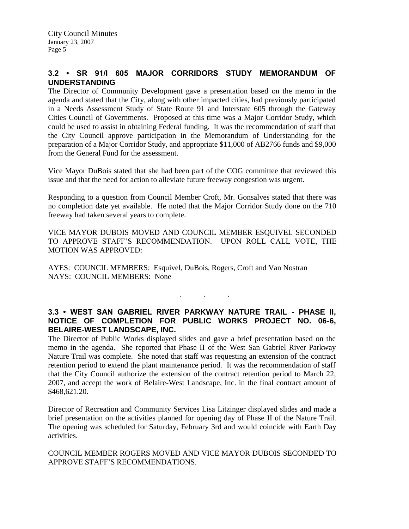# **3.2 • SR 91/I 605 MAJOR CORRIDORS STUDY MEMORANDUM OF UNDERSTANDING**

The Director of Community Development gave a presentation based on the memo in the agenda and stated that the City, along with other impacted cities, had previously participated in a Needs Assessment Study of State Route 91 and Interstate 605 through the Gateway Cities Council of Governments. Proposed at this time was a Major Corridor Study, which could be used to assist in obtaining Federal funding. It was the recommendation of staff that the City Council approve participation in the Memorandum of Understanding for the preparation of a Major Corridor Study, and appropriate \$11,000 of AB2766 funds and \$9,000 from the General Fund for the assessment.

Vice Mayor DuBois stated that she had been part of the COG committee that reviewed this issue and that the need for action to alleviate future freeway congestion was urgent.

Responding to a question from Council Member Croft, Mr. Gonsalves stated that there was no completion date yet available. He noted that the Major Corridor Study done on the 710 freeway had taken several years to complete.

VICE MAYOR DUBOIS MOVED AND COUNCIL MEMBER ESQUIVEL SECONDED TO APPROVE STAFF'S RECOMMENDATION. UPON ROLL CALL VOTE, THE MOTION WAS APPROVED:

AYES: COUNCIL MEMBERS: Esquivel, DuBois, Rogers, Croft and Van Nostran NAYS: COUNCIL MEMBERS: None

## **3.3 • WEST SAN GABRIEL RIVER PARKWAY NATURE TRAIL - PHASE II, NOTICE OF COMPLETION FOR PUBLIC WORKS PROJECT NO. 06-6, BELAIRE-WEST LANDSCAPE, INC.**

. . .

The Director of Public Works displayed slides and gave a brief presentation based on the memo in the agenda. She reported that Phase II of the West San Gabriel River Parkway Nature Trail was complete. She noted that staff was requesting an extension of the contract retention period to extend the plant maintenance period. It was the recommendation of staff that the City Council authorize the extension of the contract retention period to March 22, 2007, and accept the work of Belaire-West Landscape, Inc. in the final contract amount of \$468,621.20.

Director of Recreation and Community Services Lisa Litzinger displayed slides and made a brief presentation on the activities planned for opening day of Phase II of the Nature Trail. The opening was scheduled for Saturday, February 3rd and would coincide with Earth Day activities.

COUNCIL MEMBER ROGERS MOVED AND VICE MAYOR DUBOIS SECONDED TO APPROVE STAFF'S RECOMMENDATIONS.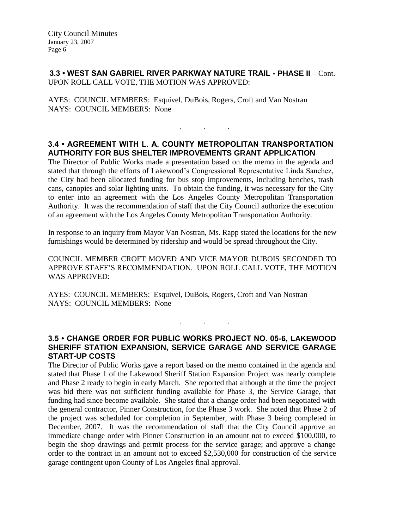**3.3 • WEST SAN GABRIEL RIVER PARKWAY NATURE TRAIL - PHASE II** – Cont. UPON ROLL CALL VOTE, THE MOTION WAS APPROVED:

AYES: COUNCIL MEMBERS: Esquivel, DuBois, Rogers, Croft and Van Nostran NAYS: COUNCIL MEMBERS: None

## **3.4 • AGREEMENT WITH L. A. COUNTY METROPOLITAN TRANSPORTATION AUTHORITY FOR BUS SHELTER IMPROVEMENTS GRANT APPLICATION**

. . .

The Director of Public Works made a presentation based on the memo in the agenda and stated that through the efforts of Lakewood's Congressional Representative Linda Sanchez, the City had been allocated funding for bus stop improvements, including benches, trash cans, canopies and solar lighting units. To obtain the funding, it was necessary for the City to enter into an agreement with the Los Angeles County Metropolitan Transportation Authority. It was the recommendation of staff that the City Council authorize the execution of an agreement with the Los Angeles County Metropolitan Transportation Authority.

In response to an inquiry from Mayor Van Nostran, Ms. Rapp stated the locations for the new furnishings would be determined by ridership and would be spread throughout the City.

COUNCIL MEMBER CROFT MOVED AND VICE MAYOR DUBOIS SECONDED TO APPROVE STAFF'S RECOMMENDATION. UPON ROLL CALL VOTE, THE MOTION WAS APPROVED:

AYES: COUNCIL MEMBERS: Esquivel, DuBois, Rogers, Croft and Van Nostran NAYS: COUNCIL MEMBERS: None

## **3.5 • CHANGE ORDER FOR PUBLIC WORKS PROJECT NO. 05-6, LAKEWOOD SHERIFF STATION EXPANSION, SERVICE GARAGE AND SERVICE GARAGE START-UP COSTS**

. . .

The Director of Public Works gave a report based on the memo contained in the agenda and stated that Phase 1 of the Lakewood Sheriff Station Expansion Project was nearly complete and Phase 2 ready to begin in early March. She reported that although at the time the project was bid there was not sufficient funding available for Phase 3, the Service Garage, that funding had since become available. She stated that a change order had been negotiated with the general contractor, Pinner Construction, for the Phase 3 work. She noted that Phase 2 of the project was scheduled for completion in September, with Phase 3 being completed in December, 2007. It was the recommendation of staff that the City Council approve an immediate change order with Pinner Construction in an amount not to exceed \$100,000, to begin the shop drawings and permit process for the service garage; and approve a change order to the contract in an amount not to exceed \$2,530,000 for construction of the service garage contingent upon County of Los Angeles final approval.